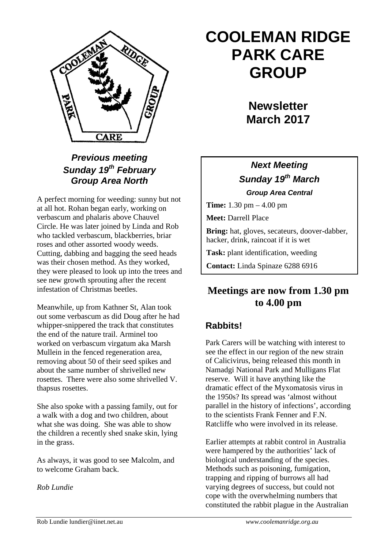

#### *Previous meeting Sunday 19th February Group Area North*

A perfect morning for weeding: sunny but not at all hot. Rohan began early, working on verbascum and phalaris above Chauvel Circle. He was later joined by Linda and Rob who tackled verbascum, blackberries, briar roses and other assorted woody weeds. Cutting, dabbing and bagging the seed heads was their chosen method. As they worked, they were pleased to look up into the trees and see new growth sprouting after the recent infestation of Christmas beetles.

Meanwhile, up from Kathner St, Alan took out some verbascum as did Doug after he had whipper-snippered the track that constitutes the end of the nature trail. Arminel too worked on verbascum virgatum aka Marsh Mullein in the fenced regeneration area, removing about 50 of their seed spikes and about the same number of shrivelled new rosettes. There were also some shrivelled V. thapsus rosettes.

She also spoke with a passing family, out for a walk with a dog and two children, about what she was doing. She was able to show the children a recently shed snake skin, lying in the grass.

As always, it was good to see Malcolm, and to welcome Graham back.

*Rob Lundie*

# **COOLEMAN RIDGE PARK CARE GROUP**

**Newsletter March 2017** 

### *Next Meeting Sunday 19th March Group Area Central*

**Time:** 1.30 pm – 4.00 pm

**Meet:** Darrell Place

**Bring:** hat, gloves, secateurs, doover-dabber, hacker, drink, raincoat if it is wet

**Task:** plant identification, weeding

**Contact:** Linda Spinaze 6288 6916

# **Meetings are now from 1.30 pm to 4.00 pm**

# **Rabbits!**

Park Carers will be watching with interest to see the effect in our region of the new strain of Calicivirus, being released this month in Namadgi National Park and Mulligans Flat reserve. Will it have anything like the dramatic effect of the Myxomatosis virus in the 1950s? Its spread was 'almost without parallel in the history of infections', according to the scientists Frank Fenner and F.N. Ratcliffe who were involved in its release.

Earlier attempts at rabbit control in Australia were hampered by the authorities' lack of biological understanding of the species. Methods such as poisoning, fumigation, trapping and ripping of burrows all had varying degrees of success, but could not cope with the overwhelming numbers that constituted the rabbit plague in the Australian